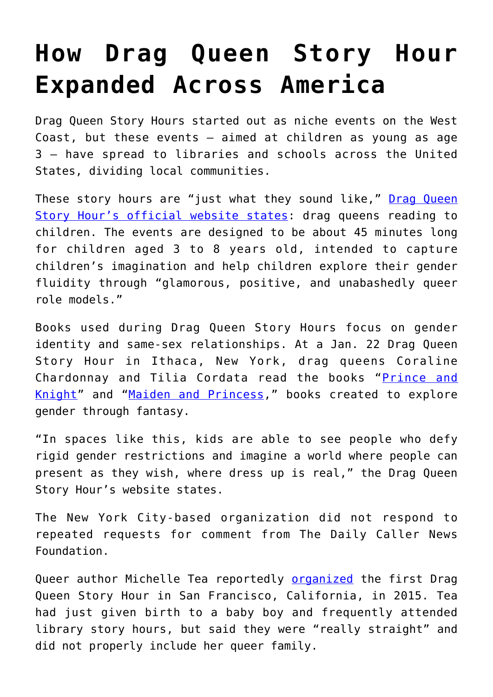## **[How Drag Queen Story Hour](https://intellectualtakeout.org/2020/01/how-drag-queen-story-hour-expanded-across-america/) [Expanded Across America](https://intellectualtakeout.org/2020/01/how-drag-queen-story-hour-expanded-across-america/)**

Drag Queen Story Hours started out as niche events on the West Coast, but these events – aimed at children as young as age 3 – have spread to libraries and schools across the United States, dividing local communities.

These story hours are "just what they sound like," [Drag Queen](https://www.dragqueenstoryhour.org/#about) [Story Hour's official website states](https://www.dragqueenstoryhour.org/#about): drag queens reading to children. The events are designed to be about 45 minutes long for children aged 3 to 8 years old, intended to capture children's imagination and help children explore their gender fluidity through "glamorous, positive, and unabashedly queer role models."

Books used during Drag Queen Story Hours focus on gender identity and same-sex relationships. At a Jan. 22 Drag Queen Story Hour in Ithaca, New York, drag queens Coraline Chardonnay and Tilia Cordata read the books "[Prince and](https://www.amazon.com/Prince-Knight-Daniel-Haack/dp/1499805527) [Knight](https://www.amazon.com/Prince-Knight-Daniel-Haack/dp/1499805527)" and "[Maiden and Princess](https://www.amazon.com/Maiden-Princess-Isabel-Galupo/dp/1499807767/ref=sr_1_1?keywords=princess+and+maiden&qid=1579710259&s=books&sr=1-1)," books created to explore gender through fantasy.

"In spaces like this, kids are able to see people who defy rigid gender restrictions and imagine a world where people can present as they wish, where dress up is real," the Drag Queen Story Hour's website states.

The New York City-based organization did not respond to repeated requests for comment from The Daily Caller News Foundation.

Queer author Michelle Tea reportedly **[organized](https://www.buzzfeednews.com/article/mitchellkuga/librarians-drag-queen-story-hour-lgbt-safe-spaces)** the first Drag Queen Story Hour in San Francisco, California, in 2015. Tea had just given birth to a baby boy and frequently attended library story hours, but said they were "really straight" and did not properly include her queer family.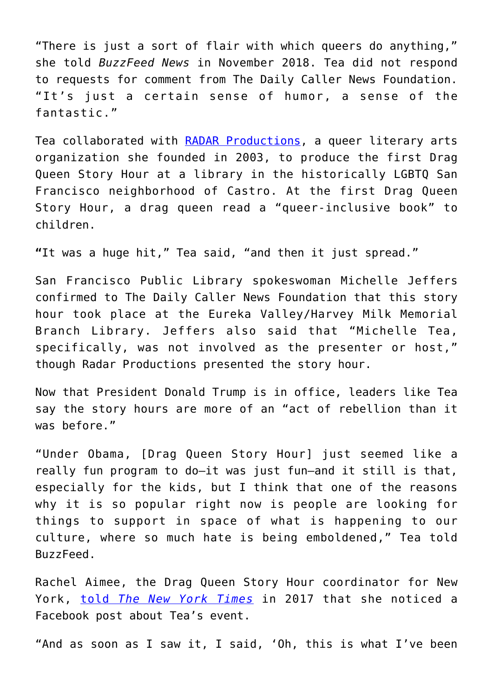"There is just a sort of flair with which queers do anything," she told *BuzzFeed News* in November 2018. Tea did not respond to requests for comment from The Daily Caller News Foundation. "It's just a certain sense of humor, a sense of the fantastic."

Tea collaborated with [RADAR Productions](https://www.radarproductions.org/), a queer literary arts organization she founded in 2003, to produce the first Drag Queen Story Hour at a library in the historically LGBTQ San Francisco neighborhood of Castro. At the first Drag Queen Story Hour, a drag queen read a "queer-inclusive book" to children.

**"**It was a huge hit," Tea said, "and then it just spread."

San Francisco Public Library spokeswoman Michelle Jeffers confirmed to The Daily Caller News Foundation that this story hour took place at the Eureka Valley/Harvey Milk Memorial Branch Library. Jeffers also said that "Michelle Tea, specifically, was not involved as the presenter or host," though Radar Productions presented the story hour.

Now that President Donald Trump is in office, leaders like Tea say the story hours are more of an "act of rebellion than it was before."

"Under Obama, [Drag Queen Story Hour] just seemed like a really fun program to do—it was just fun—and it still is that, especially for the kids, but I think that one of the reasons why it is so popular right now is people are looking for things to support in space of what is happening to our culture, where so much hate is being emboldened," Tea told BuzzFeed.

Rachel Aimee, the Drag Queen Story Hour coordinator for New York, [told](https://www.nytimes.com/2017/05/19/style/drag-queen-story-hour-puts-the-rainbow-in-reading.html?_r=1) *[The New York Times](https://www.nytimes.com/2017/05/19/style/drag-queen-story-hour-puts-the-rainbow-in-reading.html?_r=1)* in 2017 that she noticed a Facebook post about Tea's event.

"And as soon as I saw it, I said, 'Oh, this is what I've been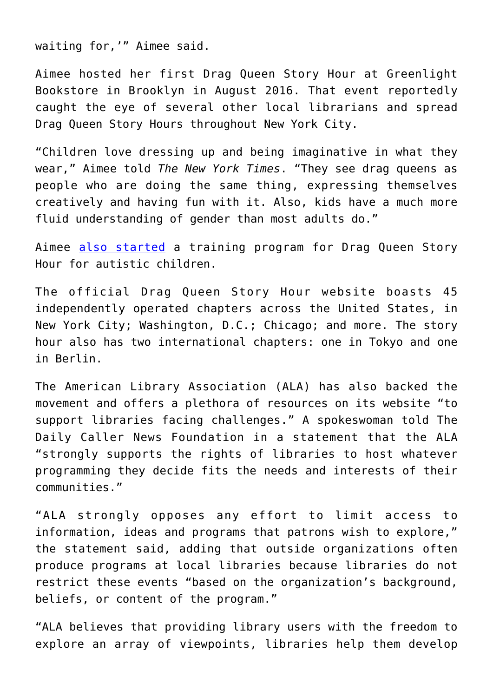waiting for,'" Aimee said.

Aimee hosted her first Drag Queen Story Hour at Greenlight Bookstore in Brooklyn in August 2016. That event reportedly caught the eye of several other local librarians and spread Drag Queen Story Hours throughout New York City.

"Children love dressing up and being imaginative in what they wear," Aimee told *The New York Times*. "They see drag queens as people who are doing the same thing, expressing themselves creatively and having fun with it. Also, kids have a much more fluid understanding of gender than most adults do."

Aimee [also started](https://www.buzzfeednews.com/article/mitchellkuga/librarians-drag-queen-story-hour-lgbt-safe-spaces) a training program for Drag Queen Story Hour for autistic children.

The official Drag Queen Story Hour website boasts 45 independently operated chapters across the United States, in New York City; Washington, D.C.; Chicago; and more. The story hour also has two international chapters: one in Tokyo and one in Berlin.

The American Library Association (ALA) has also backed the movement and offers a plethora of resources on its website "to support libraries facing challenges." A spokeswoman told The Daily Caller News Foundation in a statement that the ALA "strongly supports the rights of libraries to host whatever programming they decide fits the needs and interests of their communities."

"ALA strongly opposes any effort to limit access to information, ideas and programs that patrons wish to explore," the statement said, adding that outside organizations often produce programs at local libraries because libraries do not restrict these events "based on the organization's background, beliefs, or content of the program."

"ALA believes that providing library users with the freedom to explore an array of viewpoints, libraries help them develop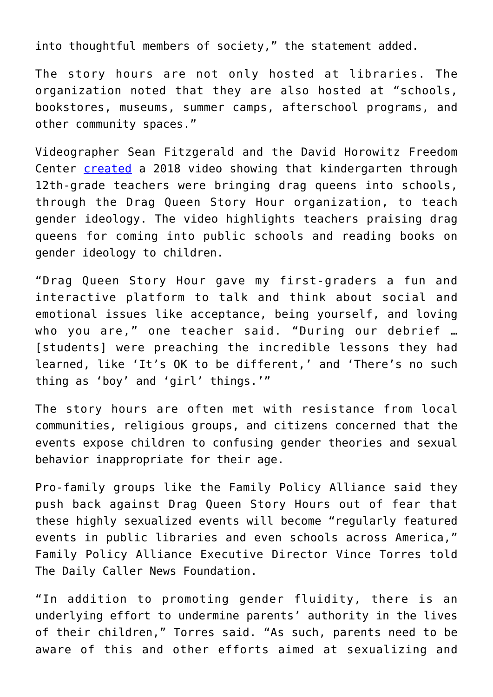into thoughtful members of society," the statement added.

The story hours are not only hosted at libraries. The organization noted that they are also hosted at "schools, bookstores, museums, summer camps, afterschool programs, and other community spaces."

Videographer Sean Fitzgerald and the David Horowitz Freedom Center [created](https://dailycaller.com/2018/08/03/drag-queens-gender-ideology-schools/) a 2018 video showing that kindergarten through 12th-grade teachers were bringing drag queens into schools, through the Drag Queen Story Hour organization, to teach gender ideology. The video highlights teachers praising drag queens for coming into public schools and reading books on gender ideology to children.

"Drag Queen Story Hour gave my first-graders a fun and interactive platform to talk and think about social and emotional issues like acceptance, being yourself, and loving who you are," one teacher said. "During our debrief … [students] were preaching the incredible lessons they had learned, like 'It's OK to be different,' and 'There's no such thing as 'boy' and 'girl' things.'"

The story hours are often met with resistance from local communities, religious groups, and citizens concerned that the events expose children to confusing gender theories and sexual behavior inappropriate for their age.

Pro-family groups like the Family Policy Alliance said they push back against Drag Queen Story Hours out of fear that these highly sexualized events will become "regularly featured events in public libraries and even schools across America," Family Policy Alliance Executive Director Vince Torres told The Daily Caller News Foundation.

"In addition to promoting gender fluidity, there is an underlying effort to undermine parents' authority in the lives of their children," Torres said. "As such, parents need to be aware of this and other efforts aimed at sexualizing and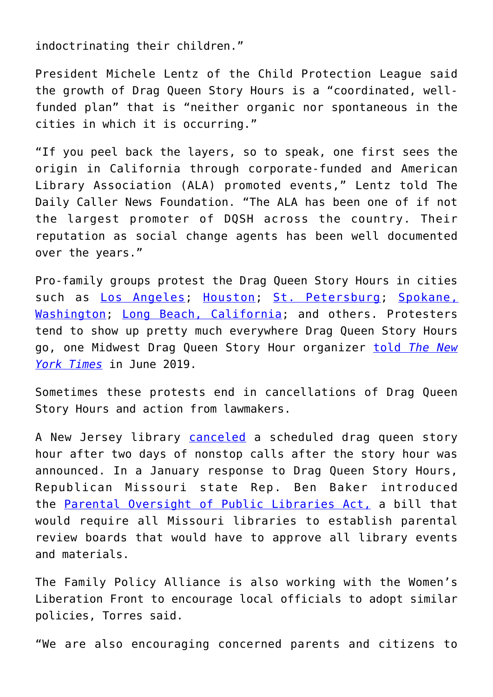indoctrinating their children."

President Michele Lentz of the Child Protection League said the growth of Drag Queen Story Hours is a "coordinated, wellfunded plan" that is "neither organic nor spontaneous in the cities in which it is occurring."

"If you peel back the layers, so to speak, one first sees the origin in California through corporate-funded and American Library Association (ALA) promoted events," Lentz told The Daily Caller News Foundation. "The ALA has been one of if not the largest promoter of DQSH across the country. Their reputation as social change agents has been well documented over the years."

Pro-family groups protest the Drag Queen Story Hours in cities such as [Los Angeles](https://www.mercurynews.com/2019/07/20/drag-queen-story-hour-draws-protests-in-el-segundo/); [Houston;](https://www.nytimes.com/2019/06/06/us/drag-queen-story-hour.html) [St. Petersburg;](https://www.abcactionnews.com/news/region-pinellas/community-cafe-says-drag-queen-story-hour-disrupted-by-several-protesters-on-saturday) [Spokane,](https://www.khq.com/news/protesters-supporters-gather-for-drag-queen-story-hour-at-south/article_661a5eb8-8fca-11e9-9765-a7c3dbd28829.html) [Washington](https://www.khq.com/news/protesters-supporters-gather-for-drag-queen-story-hour-at-south/article_661a5eb8-8fca-11e9-9765-a7c3dbd28829.html); [Long Beach, California;](https://www.presstelegram.com/2017/10/17/long-beach-library-hosts-drag-queen-story-hour-controversy-ensues/) and others. Protesters tend to show up pretty much everywhere Drag Queen Story Hours go, one Midwest Drag Queen Story Hour organizer [told](https://www.nytimes.com/2019/06/06/us/drag-queen-story-hour.html) *[The New](https://www.nytimes.com/2019/06/06/us/drag-queen-story-hour.html) [York Times](https://www.nytimes.com/2019/06/06/us/drag-queen-story-hour.html)* in June 2019.

Sometimes these protests end in cancellations of Drag Queen Story Hours and action from lawmakers.

A New Jersey library [canceled](https://www.lehighvalleylive.com/warren-county/2019/06/nj-library-planned-a-drag-queen-story-hour-then-came-2-days-of-nonstop-phone-calls.html) a scheduled drag queen story hour after two days of nonstop calls after the story hour was announced. In a January response to Drag Queen Story Hours, Republican Missouri state Rep. Ben Baker introduced the [Parental Oversight of Public Libraries Act,](https://www.house.mo.gov/billtracking/bills201/hlrbillspdf/4634H.01I.pdf) a bill that would require all Missouri libraries to establish parental review boards that would have to approve all library events and materials.

The Family Policy Alliance is also working with the Women's Liberation Front to encourage local officials to adopt similar policies, Torres said.

"We are also encouraging concerned parents and citizens to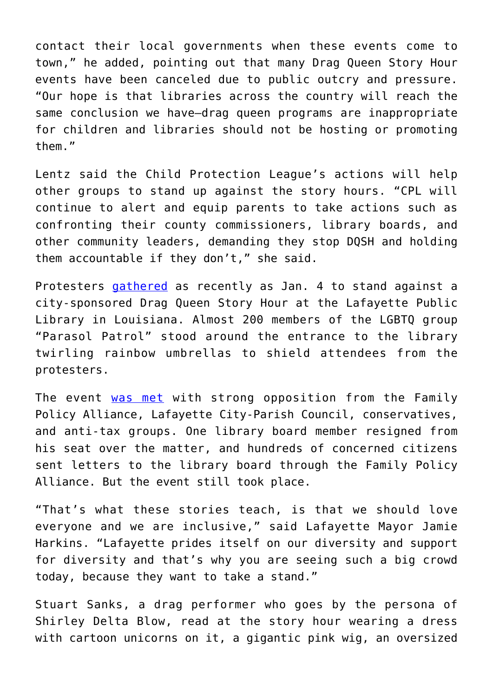contact their local governments when these events come to town," he added, pointing out that many Drag Queen Story Hour events have been canceled due to public outcry and pressure. "Our hope is that libraries across the country will reach the same conclusion we have—drag queen programs are inappropriate for children and libraries should not be hosting or promoting them."

Lentz said the Child Protection League's actions will help other groups to stand up against the story hours. "CPL will continue to alert and equip parents to take actions such as confronting their county commissioners, library boards, and other community leaders, demanding they stop DQSH and holding them accountable if they don't," she said.

Protesters [gathered](https://www.timescall.com/2020/01/04/lafayette-librarys-drag-queen-story-hour-sparks-support-and-outrage-saturday/) as recently as Jan. 4 to stand against a city-sponsored Drag Queen Story Hour at the Lafayette Public Library in Louisiana. Almost 200 members of the LGBTQ group "Parasol Patrol" stood around the entrance to the library twirling rainbow umbrellas to shield attendees from the protesters.

The event [was met](https://americanlibrariesmagazine.org/blogs/the-scoop/drag-queen-storytimes-bring-fierceness-and-fierce-opposition/) with strong opposition from the Family Policy Alliance, Lafayette City-Parish Council, conservatives, and anti-tax groups. One library board member resigned from his seat over the matter, and hundreds of concerned citizens sent letters to the library board through the Family Policy Alliance. But the event still took place.

"That's what these stories teach, is that we should love everyone and we are inclusive," said Lafayette Mayor Jamie Harkins. "Lafayette prides itself on our diversity and support for diversity and that's why you are seeing such a big crowd today, because they want to take a stand."

Stuart Sanks, a drag performer who goes by the persona of Shirley Delta Blow, read at the story hour wearing a dress with cartoon unicorns on it, a gigantic pink wig, an oversized